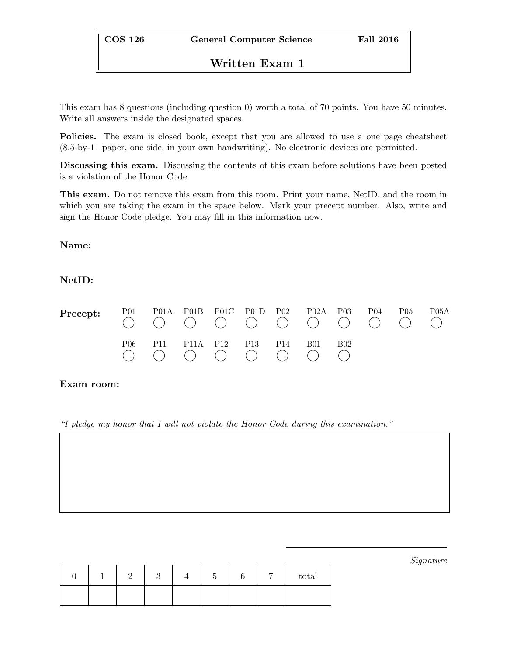# Written Exam 1

This exam has 8 questions (including question 0) worth a total of 70 points. You have 50 minutes. Write all answers inside the designated spaces.

Policies. The exam is closed book, except that you are allowed to use a one page cheatsheet (8.5-by-11 paper, one side, in your own handwriting). No electronic devices are permitted.

Discussing this exam. Discussing the contents of this exam before solutions have been posted is a violation of the Honor Code.

This exam. Do not remove this exam from this room. Print your name, NetID, and the room in which you are taking the exam in the space below. Mark your precept number. Also, write and sign the Honor Code pledge. You may fill in this information now.

## Name:

## NetID:

| Precept: | P <sub>0</sub> 1 |                 | P01A P01B P01C P01D P02 |     |                 | P02A       | P <sub>0</sub> 3 | P <sub>04</sub> | P05 | P05A |
|----------|------------------|-----------------|-------------------------|-----|-----------------|------------|------------------|-----------------|-----|------|
|          | P06              | P <sub>11</sub> | P11A P12                | P13 | P <sub>14</sub> | <b>B01</b> | B02              |                 |     |      |

### Exam room:

"I pledge my honor that I will not violate the Honor Code during this examination."

|  |  | ⊷ |  | total |
|--|--|---|--|-------|
|  |  |   |  |       |

Signature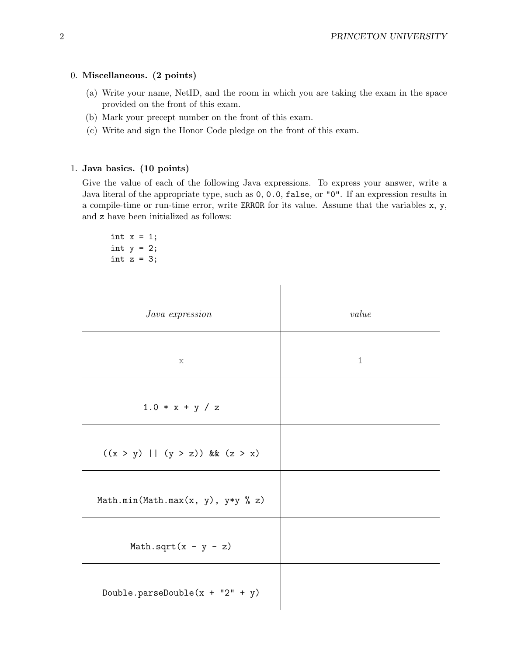#### 0. Miscellaneous. (2 points)

- (a) Write your name, NetID, and the room in which you are taking the exam in the space provided on the front of this exam.
- (b) Mark your precept number on the front of this exam.
- (c) Write and sign the Honor Code pledge on the front of this exam.

### 1. Java basics. (10 points)

Give the value of each of the following Java expressions. To express your answer, write a Java literal of the appropriate type, such as 0, 0.0, false, or "0". If an expression results in a compile-time or run-time error, write ERROR for its value. Assume that the variables x, y, and z have been initialized as follows:

 $\begin{array}{c} \hline \end{array}$ 

int  $x = 1$ ; int  $y = 2$ ; int  $z = 3$ ;

| Java expression                     | value       |
|-------------------------------------|-------------|
| $\mathbf x$                         | $\mathbf 1$ |
| $1.0 * x + y / z$                   |             |
| $((x > y)    (y > z))$ & $(z > x)$  |             |
| Math.min(Math.max(x, y), $y*y % z)$ |             |
| Math.sqrt $(x - y - z)$             |             |
| Double.parseDouble( $x + "2" + y$ ) |             |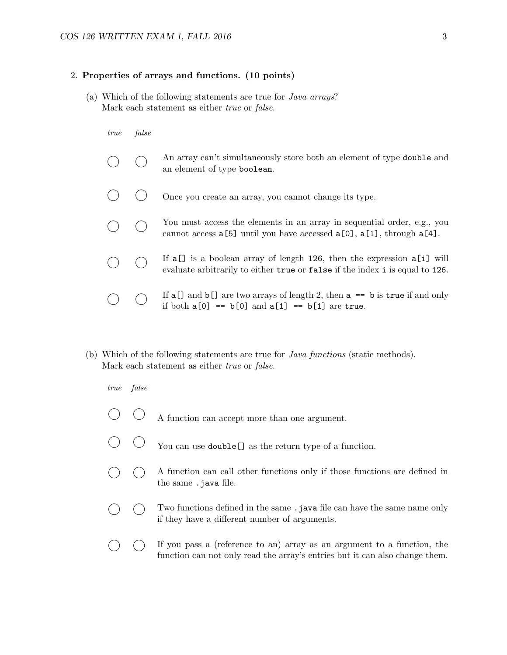#### 2. Properties of arrays and functions. (10 points)

(a) Which of the following statements are true for Java arrays? Mark each statement as either *true* or *false*.

## true false

|  | An array can't simultaneously store both an element of type <b>double</b> and<br>an element of type boolean.                                                |
|--|-------------------------------------------------------------------------------------------------------------------------------------------------------------|
|  | Once you create an array, you cannot change its type.                                                                                                       |
|  | You must access the elements in an array in sequential order, e.g., you<br>cannot access $a[5]$ until you have accessed $a[0]$ , $a[1]$ , through $a[4]$ .  |
|  | If $a[1]$ is a boolean array of length 126, then the expression $a[i]$ will<br>evaluate arbitrarily to either true or false if the index i is equal to 126. |
|  | If $a[]$ and $b[]$ are two arrays of length 2, then $a == b$ is true if and only<br>if both $a[0] == b[0]$ and $a[1] == b[1]$ are true.                     |

(b) Which of the following statements are true for Java functions (static methods). Mark each statement as either *true* or *false*.

true false

- $\bigcirc$  A function can accept more than one argument.
- You can use double [] as the return type of a function.
- $\bigcap$  A function can call other functions only if those functions are defined in the same .java file.
- $\bigcap$  Two functions defined in the same .java file can have the same name only if they have a different number of arguments.
- $\bigcirc$   $\bigcirc$  If you pass a (reference to an) array as an argument to a function, the function can not only read the array's entries but it can also change them.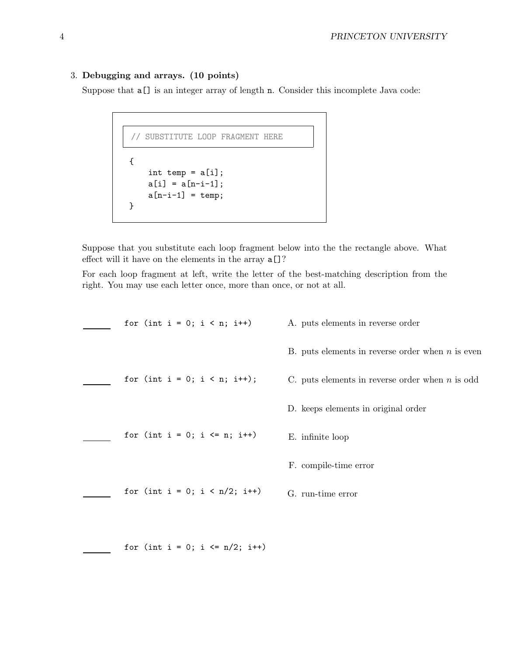### 3. Debugging and arrays. (10 points)

Suppose that  $a[]$  is an integer array of length n. Consider this incomplete Java code:

```
// SUBSTITUTE LOOP FRAGMENT HERE
{
    int temp = a[i];
   a[i] = a[n-i-1];a[n-i-1] = temp;}
```
Suppose that you substitute each loop fragment below into the the rectangle above. What effect will it have on the elements in the array a[]?

For each loop fragment at left, write the letter of the best-matching description from the right. You may use each letter once, more than once, or not at all.

| for (int i = 0; i < n; i++)       | A. puts elements in reverse order                  |
|-----------------------------------|----------------------------------------------------|
|                                   | B. puts elements in reverse order when $n$ is even |
| for (int i = 0; i < n; i++);      | C. puts elements in reverse order when $n$ is odd  |
|                                   | D. keeps elements in original order                |
| for (int i = 0; i <= n; i++)      | E. infinite loop                                   |
|                                   | F. compile-time error                              |
| for (int i = 0; i < $n/2$ ; i++)  | G. run-time error                                  |
|                                   |                                                    |
| for (int i = 0; i <= $n/2$ ; i++) |                                                    |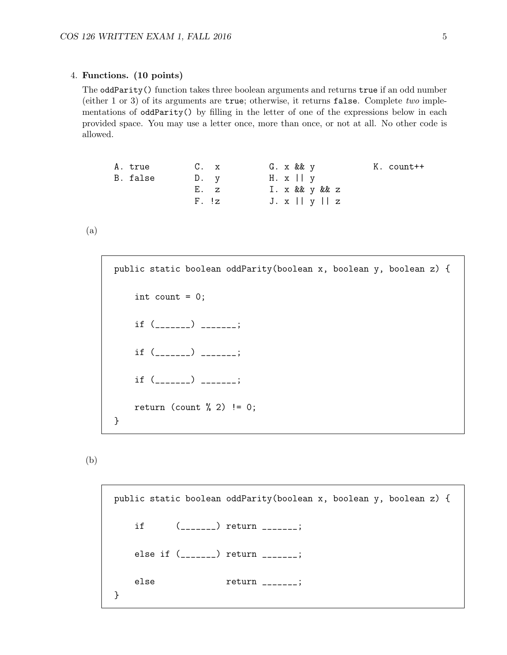#### 4. Functions. (10 points)

The oddParity() function takes three boolean arguments and returns true if an odd number (either 1 or 3) of its arguments are  $true$ ; otherwise, it returns false. Complete two implementations of oddParity() by filling in the letter of one of the expressions below in each provided space. You may use a letter once, more than once, or not at all. No other code is allowed.

```
A. true
B. false
               C. x
               D. y
               E. z
               F. !z
                             G. x && y
                             H. x || y
                             I. x && y && z
                             J. x || y || z
                                                 K. count++
```
(a)

```
public static boolean oddParity(boolean x, boolean y, boolean z) {
   int count = 0;
   if (if (_______) _______;
   if (_______) _______;
   return (count \frac{6}{2}) != 0;
}
```

```
(b)
```

```
public static boolean oddParity(boolean x, boolean y, boolean z) {
   if (_______) return _______;
   else if (_______) return _______;
   else return _______;
}
```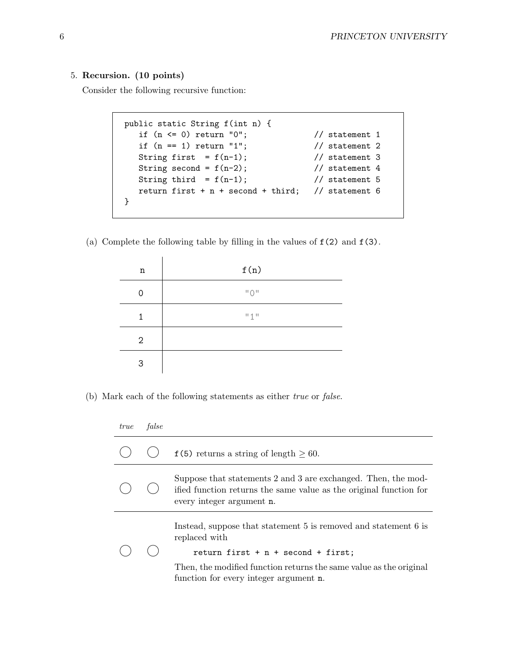## 5. Recursion. (10 points)

Consider the following recursive function:

```
public static String f(int n) {
  if (n \le 0) return "0"; \frac{1}{2} // statement 1
  if (n == 1) return "1"; // statement 2
  String first = f(n-1); // statement 3
  String second = f(n-2); // statement 4
  String third = f(n-1); // statement 5
  return first + n + second + third; // statement 6
}
```
(a) Complete the following table by filling in the values of  $f(2)$  and  $f(3)$ .

| n              | f(n)                                   |
|----------------|----------------------------------------|
| ი              | $^{\prime\prime}$ () $^{\prime\prime}$ |
| 1              | "1"                                    |
| $\overline{2}$ |                                        |
| 3              |                                        |

(b) Mark each of the following statements as either true or false.

| <i>true</i> | false |                                                                                                                                                                  |
|-------------|-------|------------------------------------------------------------------------------------------------------------------------------------------------------------------|
|             |       | $f(5)$ returns a string of length $\geq 60$ .                                                                                                                    |
|             |       | Suppose that statements 2 and 3 are exchanged. Then, the mod-<br>ified function returns the same value as the original function for<br>every integer argument n. |
|             |       | Instead, suppose that statement 5 is removed and statement 6 is<br>replaced with<br>return first $+ n +$ second $+$ first;                                       |
|             |       | Then, the modified function returns the same value as the original<br>function for every integer argument n.                                                     |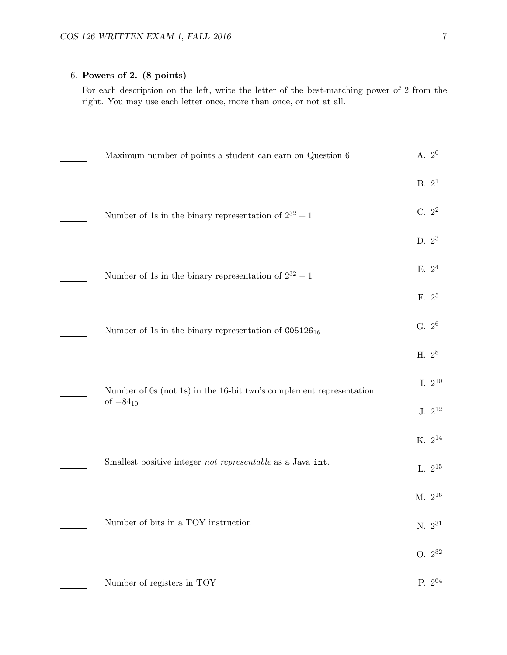## 6. Powers of 2. (8 points)

For each description on the left, write the letter of the best-matching power of 2 from the right. You may use each letter once, more than once, or not at all.

| Maximum number of points a student can earn on Question 6           |                   | A. $2^0$           |
|---------------------------------------------------------------------|-------------------|--------------------|
|                                                                     | B. 2 <sup>1</sup> |                    |
| Number of 1s in the binary representation of $2^{32} + 1$           |                   | C. 2 <sup>2</sup>  |
|                                                                     |                   | D. $2^3$           |
| Number of 1s in the binary representation of $2^{32} - 1$           |                   | E. $2^4$           |
|                                                                     |                   | F. 2 <sup>5</sup>  |
| Number of 1s in the binary representation of $CO5126_{16}$          |                   | G. $2^6$           |
|                                                                     | H. $2^8$          |                    |
| Number of 0s (not 1s) in the 16-bit two's complement representation |                   | I. $2^{10}$        |
| of $-84_{10}$                                                       |                   | J. $2^{12}$        |
|                                                                     |                   | $K. 2^{14}$        |
| Smallest positive integer not representable as a Java int.          |                   | L. $2^{15}$        |
|                                                                     |                   | M. $2^{16}\,$      |
| Number of bits in a TOY instruction                                 |                   | $N. 2^{31}$        |
|                                                                     |                   | $O. 2^{32}$        |
| Number of registers in TOY                                          |                   | P. 2 <sup>64</sup> |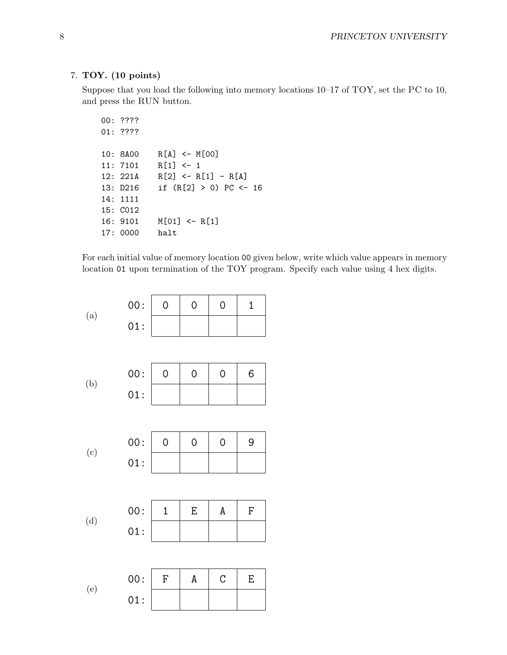### 7. TOY. (10 points)

Suppose that you load the following into memory locations 10–17 of TOY, set the PC to 10, and press the RUN button.

```
00: ????
01: ????
10: 8A00 R[A] <- M[00]
11: 7101 R[1] <- 1
12: 221A R[2] \leftarrow R[1] - R[A]13: D216 if (R[2] > 0) PC <- 16
14: 1111
15: C012
16: 9101 M[01] <- R[1]
17: 0000 halt
```
For each initial value of memory location 00 given below, write which value appears in memory location 01 upon termination of the TOY program. Specify each value using 4 hex digits.

$$
(\rm{a})
$$

| 00: | - 0 | $\left( \right)$ | $\left( \right)$ |  |
|-----|-----|------------------|------------------|--|
| 01: |     |                  |                  |  |

(b) 
$$
00: \begin{array}{|c|c|c|c|c|} \hline 0 & 0 & 0 & 6 \\ \hline 01: & & & \\\hline \end{array}
$$

| (c) | 00: 0 | 0 | $\Omega$ | -9 |
|-----|-------|---|----------|----|
|     | 01:   |   |          |    |

(d) 
$$
\begin{array}{c|cc} \text{(d)} & \text{(e)} \\ \hline \text{(f)} & \text{(g)} \\ \hline \text{(h)} & \text{(i)} \end{array}
$$

(e) 00: F A C E 01: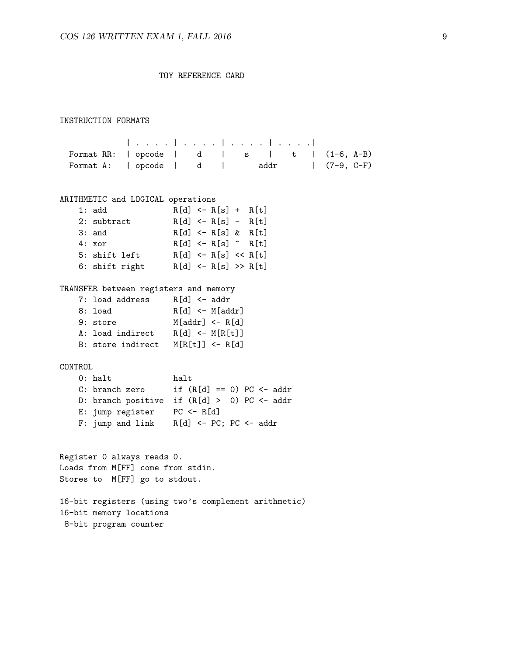TOY REFERENCE CARD

#### INSTRUCTION FORMATS

| . . . . | . . . . | . . . . | . . . .| Format RR: | opcode | d | s | t | (1-6, A-B) Format A: | opcode | d | addr | (7-9, C-F)

#### ARITHMETIC and LOGICAL operations

| 1: add         | $R[d] \leftarrow R[s] + R[t]$          |  |
|----------------|----------------------------------------|--|
| 2: subtract    | $R[d] \leftarrow R[s] - R[t]$          |  |
| $3:$ and       | $R[d] \leq R[s]$ & $R[t]$              |  |
| 4: xor         | $R[d] \leftarrow R[s] \hat{ }$ $R[t]$  |  |
| 5: shift left  | $R[d] \leftarrow R[s] \leftarrow R[t]$ |  |
| 6: shift right | $R[d]$ <- $R[s]$ >> $R[t]$             |  |

#### TRANSFER between registers and memory

| 7: load address   | $R[d]$ <- addr      |
|-------------------|---------------------|
| 8: load           | $R[d]$ <- $M[addr]$ |
| 9: store          | $M[addr] < - R[d]$  |
| A: load indirect  | $R[d]$ <- $M[R[t]]$ |
| B: store indirect | $M[RIt] < -RId$     |

#### CONTROL

| $0:$ halt        | halt                                        |
|------------------|---------------------------------------------|
| C: branch zero   | if $(R[d] == 0) PC \leftarrow addr$         |
|                  | D: branch positive if (R[d] > 0) PC <- addr |
| E: jump register | $PC \leftarrow R[d]$                        |
| F: jump and link | $R[d]$ <- PC; PC <- addr                    |

Register 0 always reads 0. Loads from M[FF] come from stdin. Stores to M[FF] go to stdout.

16-bit registers (using two's complement arithmetic) 16-bit memory locations 8-bit program counter